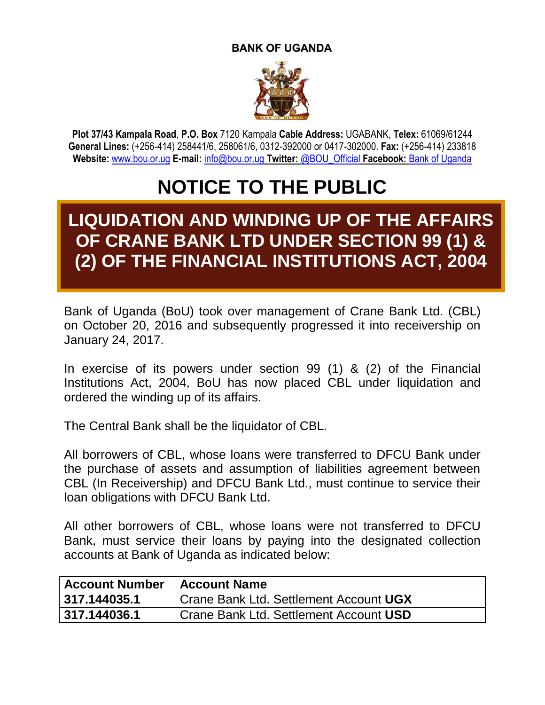## **BANK OF UGANDA**



**Plot 37/43 Kampala Road**, **P.O. Box** 7120 Kampala **Cable Address:** UGABANK, **Telex:** 61069/61244 **General Lines:** (+256-414) 258441/6, 258061/6, 0312-392000 or 0417-302000. **Fax:** (+256-414) 233818 **Website:** [www.bou.or.ug](http://www.bou.or.ug/) **E-mail:** [info@bou.or.ug](mailto:info@bou.or.ug) **Twitter:** @BOU\_Official **Facebook:** Bank of Uganda

## **NOTICE TO THE PUBLIC**

## **LIQUIDATION AND WINDING UP OF THE AFFAIRS OF CRANE BANK LTD UNDER SECTION 99 (1) & (2) OF THE FINANCIAL INSTITUTIONS ACT, 2004**

Bank of Uganda (BoU) took over management of Crane Bank Ltd. (CBL) on October 20, 2016 and subsequently progressed it into receivership on January 24, 2017.

In exercise of its powers under section 99 (1) & (2) of the Financial Institutions Act, 2004, BoU has now placed CBL under liquidation and ordered the winding up of its affairs.

The Central Bank shall be the liquidator of CBL.

All borrowers of CBL, whose loans were transferred to DFCU Bank under the purchase of assets and assumption of liabilities agreement between CBL (In Receivership) and DFCU Bank Ltd., must continue to service their loan obligations with DFCU Bank Ltd.

All other borrowers of CBL, whose loans were not transferred to DFCU Bank, must service their loans by paying into the designated collection accounts at Bank of Uganda as indicated below:

| <b>Account Number</b> | <b>Account Name</b>                           |
|-----------------------|-----------------------------------------------|
| 317.144035.1          | <b>Crane Bank Ltd. Settlement Account UGX</b> |
| 317.144036.1          | Crane Bank Ltd. Settlement Account USD        |